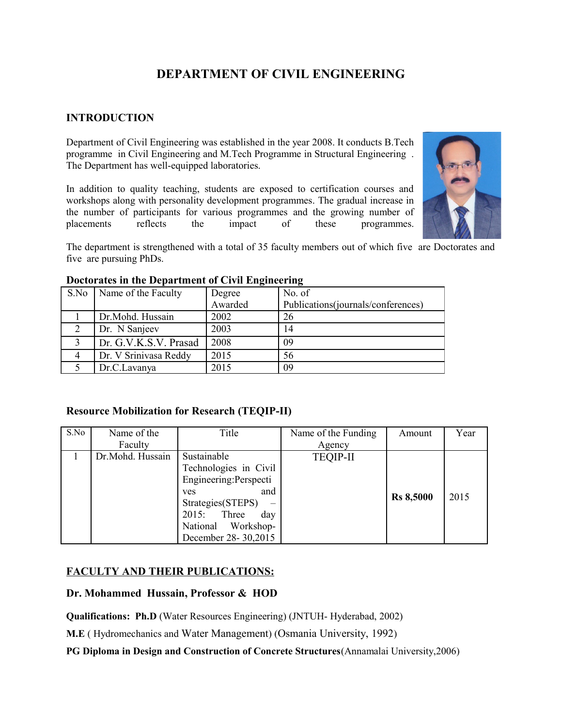# **DEPARTMENT OF CIVIL ENGINEERING**

# **INTRODUCTION**

Department of Civil Engineering was established in the year 2008. It conducts B.Tech programme in Civil Engineering and M.Tech Programme in Structural Engineering . The Department has well-equipped laboratories.

In addition to quality teaching, students are exposed to certification courses and workshops along with personality development programmes. The gradual increase in the number of participants for various programmes and the growing number of placements reflects the impact of these programmes.



The department is strengthened with a total of 35 faculty members out of which five are Doctorates and five are pursuing PhDs.

|                   | S.No   Name of the Faculty | Degree  | No. of                             |
|-------------------|----------------------------|---------|------------------------------------|
|                   |                            | Awarded | Publications(journals/conferences) |
|                   | Dr.Mohd. Hussain           | 2002    | 26                                 |
|                   | Dr. N Sanjeev              | 2003    | 14                                 |
| $\mathbf{\Omega}$ | Dr. G.V.K.S.V. Prasad      | 2008    | 09                                 |
|                   | Dr. V Srinivasa Reddy      | 2015    | 56                                 |
|                   | Dr.C.Lavanya               | 2015    | 09                                 |

#### **Doctorates in the Department of Civil Engineering**

#### **Resource Mobilization for Research (TEQIP-II)**

| S.No | Name of the      | Title                  | Name of the Funding | Amount           | Year |
|------|------------------|------------------------|---------------------|------------------|------|
|      | Faculty          |                        | Agency              |                  |      |
|      | Dr.Mohd. Hussain | Sustainable            | <b>TEQIP-II</b>     |                  |      |
|      |                  | Technologies in Civil  |                     |                  |      |
|      |                  | Engineering: Perspecti |                     |                  |      |
|      |                  | and<br><b>ves</b>      |                     | <b>Rs 8,5000</b> | 2015 |
|      |                  | Strategies(STEPS)      |                     |                  |      |
|      |                  | Three<br>2015:<br>day  |                     |                  |      |
|      |                  | National Workshop-     |                     |                  |      |
|      |                  | December 28-30,2015    |                     |                  |      |

# **FACULTY AND THEIR PUBLICATIONS:**

#### **Dr. Mohammed Hussain, Professor & HOD**

**Qualifications: Ph.D** (Water Resources Engineering) (JNTUH- Hyderabad, 2002)

**M.E** ( Hydromechanics and Water Management) (Osmania University, 1992)

**PG Diploma in Design and Construction of Concrete Structures**(Annamalai University,2006)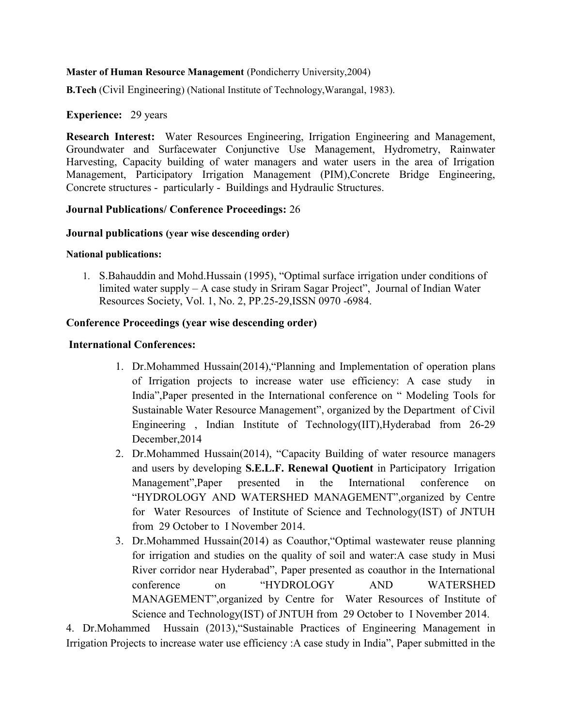#### **Master of Human Resource Management** (Pondicherry University,2004)

**B.Tech** (Civil Engineering) (National Institute of Technology,Warangal, 1983).

#### **Experience:** 29 years

**Research Interest:** Water Resources Engineering, Irrigation Engineering and Management, Groundwater and Surfacewater Conjunctive Use Management, Hydrometry, Rainwater Harvesting, Capacity building of water managers and water users in the area of Irrigation Management, Participatory Irrigation Management (PIM),Concrete Bridge Engineering, Concrete structures - particularly - Buildings and Hydraulic Structures.

#### **Journal Publications/ Conference Proceedings:** 26

#### **Journal publications (year wise descending order)**

#### **National publications:**

1. S.Bahauddin and Mohd.Hussain (1995), "Optimal surface irrigation under conditions of limited water supply – A case study in Sriram Sagar Project", Journal of Indian Water Resources Society, Vol. 1, No. 2, PP.25-29,ISSN 0970 -6984.

#### **Conference Proceedings (year wise descending order)**

#### **International Conferences:**

- 1. Dr.Mohammed Hussain(2014),"Planning and Implementation of operation plans of Irrigation projects to increase water use efficiency: A case study in India",Paper presented in the International conference on " Modeling Tools for Sustainable Water Resource Management", organized by the Department of Civil Engineering , Indian Institute of Technology(IIT),Hyderabad from 26-29 December,2014
- 2. Dr.Mohammed Hussain(2014), "Capacity Building of water resource managers and users by developing **S.E.L.F. Renewal Quotient** in Participatory Irrigation Management",Paper presented in the International conference on "HYDROLOGY AND WATERSHED MANAGEMENT",organized by Centre for Water Resources of Institute of Science and Technology(IST) of JNTUH from 29 October to I November 2014.
- 3. Dr.Mohammed Hussain(2014) as Coauthor,"Optimal wastewater reuse planning for irrigation and studies on the quality of soil and water:A case study in Musi River corridor near Hyderabad", Paper presented as coauthor in the International conference on "HYDROLOGY AND WATERSHED MANAGEMENT",organized by Centre for Water Resources of Institute of Science and Technology(IST) of JNTUH from 29 October to I November 2014.

4. Dr.Mohammed Hussain (2013),"Sustainable Practices of Engineering Management in Irrigation Projects to increase water use efficiency :A case study in India", Paper submitted in the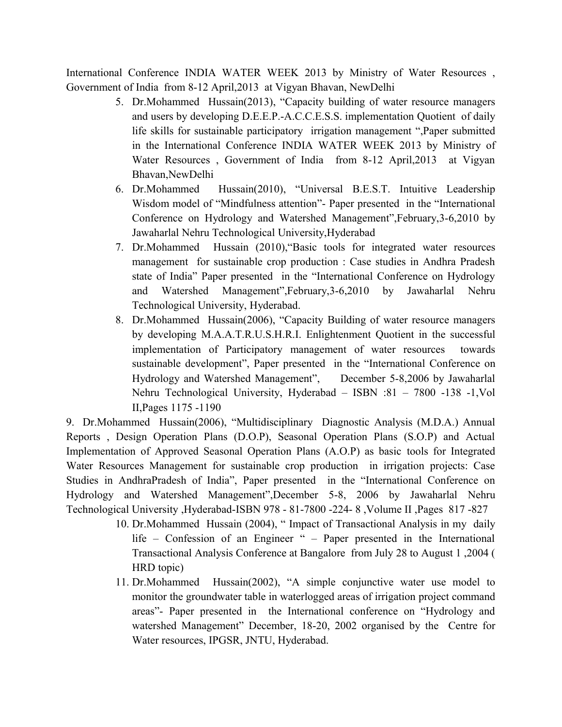International Conference INDIA WATER WEEK 2013 by Ministry of Water Resources , Government of India from 8-12 April,2013 at Vigyan Bhavan, NewDelhi

- 5. Dr.Mohammed Hussain(2013), "Capacity building of water resource managers and users by developing D.E.E.P.-A.C.C.E.S.S. implementation Quotient of daily life skills for sustainable participatory irrigation management ",Paper submitted in the International Conference INDIA WATER WEEK 2013 by Ministry of Water Resources , Government of India from 8-12 April,2013 at Vigyan Bhavan,NewDelhi
- 6. Dr.Mohammed Hussain(2010), "Universal B.E.S.T. Intuitive Leadership Wisdom model of "Mindfulness attention"- Paper presented in the "International Conference on Hydrology and Watershed Management",February,3-6,2010 by Jawaharlal Nehru Technological University,Hyderabad
- 7. Dr.Mohammed Hussain (2010),"Basic tools for integrated water resources management for sustainable crop production : Case studies in Andhra Pradesh state of India" Paper presented in the "International Conference on Hydrology and Watershed Management",February,3-6,2010 by Jawaharlal Nehru Technological University, Hyderabad.
- 8. Dr.Mohammed Hussain(2006), "Capacity Building of water resource managers by developing M.A.A.T.R.U.S.H.R.I. Enlightenment Quotient in the successful implementation of Participatory management of water resources towards sustainable development", Paper presented in the "International Conference on Hydrology and Watershed Management", December 5-8,2006 by Jawaharlal Nehru Technological University, Hyderabad – ISBN :81 – 7800 -138 -1,Vol II,Pages 1175 -1190

9. Dr.Mohammed Hussain(2006), "Multidisciplinary Diagnostic Analysis (M.D.A.) Annual Reports , Design Operation Plans (D.O.P), Seasonal Operation Plans (S.O.P) and Actual Implementation of Approved Seasonal Operation Plans (A.O.P) as basic tools for Integrated Water Resources Management for sustainable crop production in irrigation projects: Case Studies in AndhraPradesh of India", Paper presented in the "International Conference on Hydrology and Watershed Management",December 5-8, 2006 by Jawaharlal Nehru Technological University ,Hyderabad-ISBN 978 - 81-7800 -224- 8 ,Volume II ,Pages 817 -827

- 10. Dr.Mohammed Hussain (2004), " Impact of Transactional Analysis in my daily life – Confession of an Engineer " – Paper presented in the International Transactional Analysis Conference at Bangalore from July 28 to August 1 ,2004 ( HRD topic)
- 11. Dr.Mohammed Hussain(2002), "A simple conjunctive water use model to monitor the groundwater table in waterlogged areas of irrigation project command areas"- Paper presented in the International conference on "Hydrology and watershed Management" December, 18-20, 2002 organised by the Centre for Water resources, IPGSR, JNTU, Hyderabad.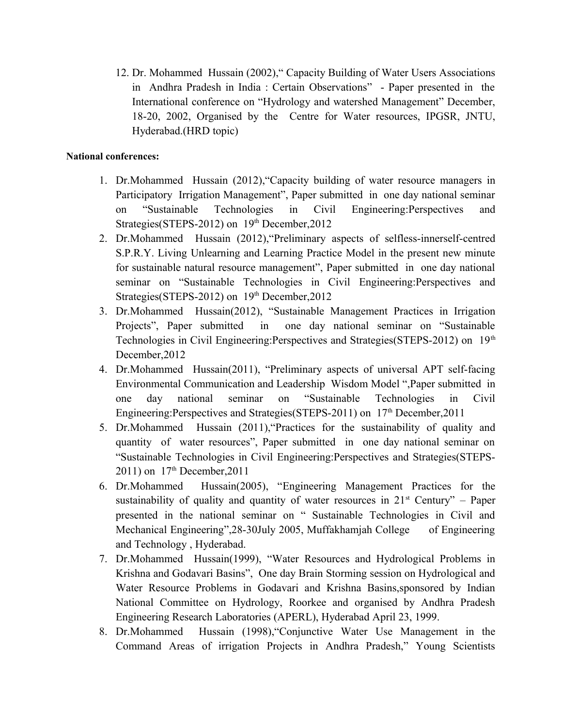12. Dr. Mohammed Hussain (2002)," Capacity Building of Water Users Associations in Andhra Pradesh in India : Certain Observations" - Paper presented in the International conference on "Hydrology and watershed Management" December, 18-20, 2002, Organised by the Centre for Water resources, IPGSR, JNTU, Hyderabad.(HRD topic)

#### **National conferences:**

- 1. Dr.Mohammed Hussain (2012),"Capacity building of water resource managers in Participatory Irrigation Management", Paper submitted in one day national seminar on "Sustainable Technologies in Civil Engineering:Perspectives and Strategies(STEPS-2012) on 19<sup>th</sup> December, 2012
- 2. Dr.Mohammed Hussain (2012),"Preliminary aspects of selfless-innerself-centred S.P.R.Y. Living Unlearning and Learning Practice Model in the present new minute for sustainable natural resource management", Paper submitted in one day national seminar on "Sustainable Technologies in Civil Engineering:Perspectives and Strategies(STEPS-2012) on 19<sup>th</sup> December, 2012
- 3. Dr.Mohammed Hussain(2012), "Sustainable Management Practices in Irrigation Projects", Paper submitted in one day national seminar on "Sustainable Technologies in Civil Engineering: Perspectives and Strategies (STEPS-2012) on 19<sup>th</sup> December,2012
- 4. Dr.Mohammed Hussain(2011), "Preliminary aspects of universal APT self-facing Environmental Communication and Leadership Wisdom Model ",Paper submitted in one day national seminar on "Sustainable Technologies in Civil Engineering:Perspectives and Strategies(STEPS-2011) on 17<sup>th</sup> December, 2011
- 5. Dr.Mohammed Hussain (2011),"Practices for the sustainability of quality and quantity of water resources", Paper submitted in one day national seminar on "Sustainable Technologies in Civil Engineering:Perspectives and Strategies(STEPS-2011) on  $17^{th}$  December, 2011
- 6. Dr.Mohammed Hussain(2005), "Engineering Management Practices for the sustainability of quality and quantity of water resources in  $21<sup>st</sup>$  Century" – Paper presented in the national seminar on " Sustainable Technologies in Civil and Mechanical Engineering",28-30July 2005, Muffakhamjah College of Engineering and Technology , Hyderabad.
- 7. Dr.Mohammed Hussain(1999), "Water Resources and Hydrological Problems in Krishna and Godavari Basins", One day Brain Storming session on Hydrological and Water Resource Problems in Godavari and Krishna Basins,sponsored by Indian National Committee on Hydrology, Roorkee and organised by Andhra Pradesh Engineering Research Laboratories (APERL), Hyderabad April 23, 1999.
- 8. Dr.Mohammed Hussain (1998),"Conjunctive Water Use Management in the Command Areas of irrigation Projects in Andhra Pradesh," Young Scientists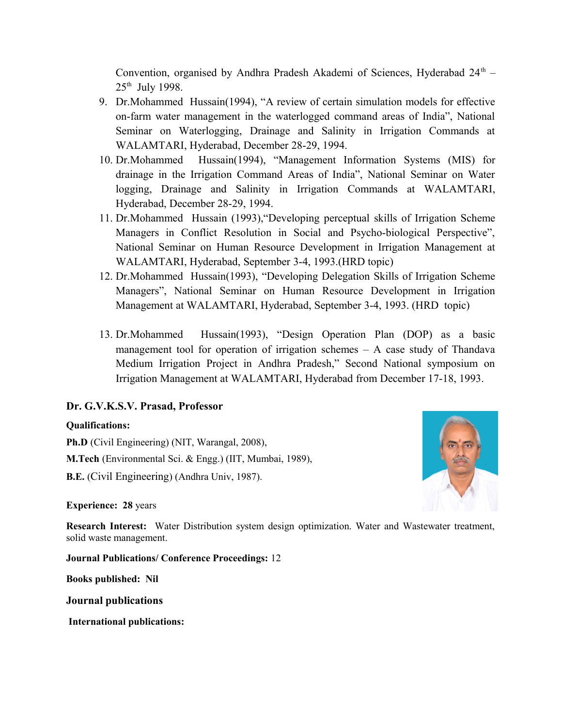Convention, organised by Andhra Pradesh Akademi of Sciences, Hyderabad  $24<sup>th</sup>$  - $25<sup>th</sup>$  July 1998.

- 9. Dr.Mohammed Hussain(1994), "A review of certain simulation models for effective on-farm water management in the waterlogged command areas of India", National Seminar on Waterlogging, Drainage and Salinity in Irrigation Commands at WALAMTARI, Hyderabad, December 28-29, 1994.
- 10. Dr.Mohammed Hussain(1994), "Management Information Systems (MIS) for drainage in the Irrigation Command Areas of India", National Seminar on Water logging, Drainage and Salinity in Irrigation Commands at WALAMTARI, Hyderabad, December 28-29, 1994.
- 11. Dr.Mohammed Hussain (1993),"Developing perceptual skills of Irrigation Scheme Managers in Conflict Resolution in Social and Psycho-biological Perspective", National Seminar on Human Resource Development in Irrigation Management at WALAMTARI, Hyderabad, September 3-4, 1993.(HRD topic)
- 12. Dr.Mohammed Hussain(1993), "Developing Delegation Skills of Irrigation Scheme Managers", National Seminar on Human Resource Development in Irrigation Management at WALAMTARI, Hyderabad, September 3-4, 1993. (HRD topic)
- 13. Dr.Mohammed Hussain(1993), "Design Operation Plan (DOP) as a basic management tool for operation of irrigation schemes  $- A$  case study of Thandava Medium Irrigation Project in Andhra Pradesh," Second National symposium on Irrigation Management at WALAMTARI, Hyderabad from December 17-18, 1993.

#### **Dr. G.V.K.S.V. Prasad, Professor**

#### **Qualifications:**

**Ph.D** (Civil Engineering) (NIT, Warangal, 2008), **M.Tech** (Environmental Sci. & Engg.) (IIT, Mumbai, 1989), **B.E.** (Civil Engineering) (Andhra Univ, 1987).

**Experience: 28** years

**Research Interest:** Water Distribution system design optimization. Water and Wastewater treatment, solid waste management.

**Journal Publications/ Conference Proceedings:** 12

**Books published: Nil**

**Journal publications** 

 **International publications:**

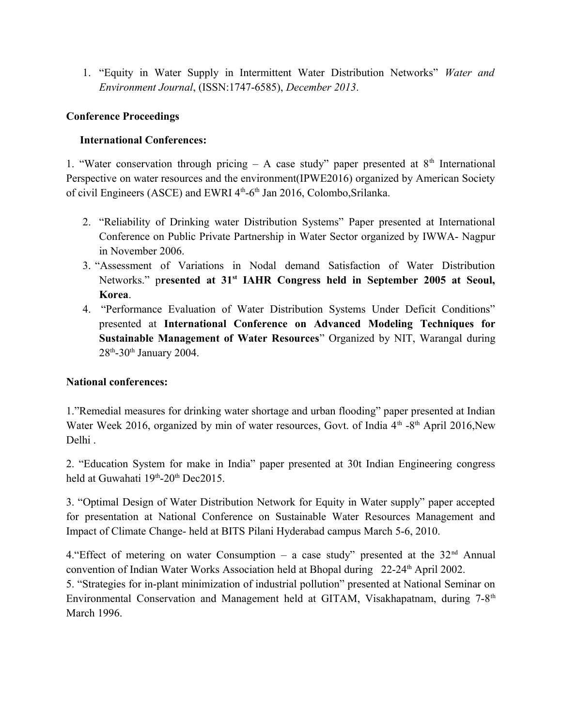1. "Equity in Water Supply in Intermittent Water Distribution Networks" *Water and Environment Journal*, (ISSN:1747-6585), *December 2013*.

# **Conference Proceedings**

# **International Conferences:**

1. "Water conservation through pricing – A case study" paper presented at  $8<sup>th</sup>$  International Perspective on water resources and the environment(IPWE2016) organized by American Society of civil Engineers (ASCE) and EWRI 4<sup>th</sup>-6<sup>th</sup> Jan 2016, Colombo, Srilanka.

- 2. "Reliability of Drinking water Distribution Systems" Paper presented at International Conference on Public Private Partnership in Water Sector organized by IWWA- Nagpur in November 2006.
- 3. "Assessment of Variations in Nodal demand Satisfaction of Water Distribution Networks." p**resented at 31st IAHR Congress held in September 2005 at Seoul, Korea**.
- 4. "Performance Evaluation of Water Distribution Systems Under Deficit Conditions" presented at **International Conference on Advanced Modeling Techniques for Sustainable Management of Water Resources**" Organized by NIT, Warangal during  $28<sup>th</sup> - 30<sup>th</sup>$  January 2004.

# **National conferences:**

1."Remedial measures for drinking water shortage and urban flooding" paper presented at Indian Water Week 2016, organized by min of water resources, Govt. of India  $4<sup>th</sup>$  -8<sup>th</sup> April 2016,New Delhi .

2. "Education System for make in India" paper presented at 30t Indian Engineering congress held at Guwahati  $19<sup>th</sup> - 20<sup>th</sup>$  Dec2015.

3. "Optimal Design of Water Distribution Network for Equity in Water supply" paper accepted for presentation at National Conference on Sustainable Water Resources Management and Impact of Climate Change- held at BITS Pilani Hyderabad campus March 5-6, 2010.

4. "Effect of metering on water Consumption – a case study" presented at the  $32<sup>nd</sup>$  Annual convention of Indian Water Works Association held at Bhopal during 22-24<sup>th</sup> April 2002.

5. "Strategies for in-plant minimization of industrial pollution" presented at National Seminar on Environmental Conservation and Management held at GITAM, Visakhapatnam, during 7-8<sup>th</sup> March 1996.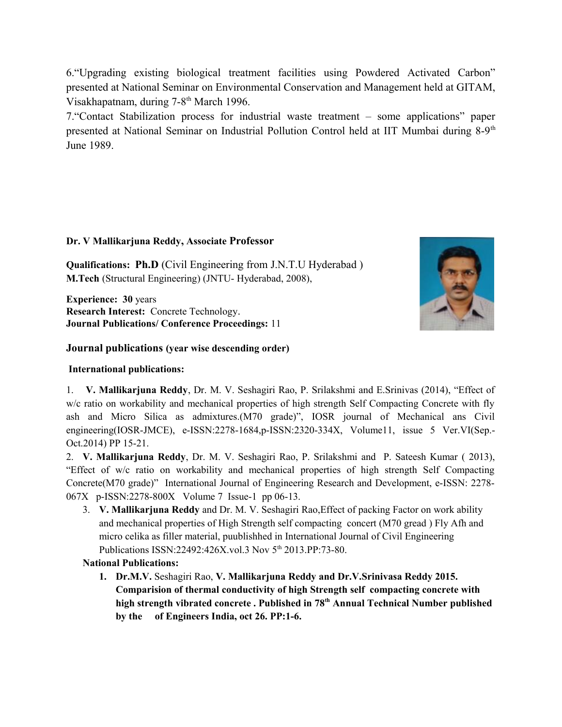6."Upgrading existing biological treatment facilities using Powdered Activated Carbon" presented at National Seminar on Environmental Conservation and Management held at GITAM, Visakhapatnam, during 7-8<sup>th</sup> March 1996.

7."Contact Stabilization process for industrial waste treatment – some applications" paper presented at National Seminar on Industrial Pollution Control held at IIT Mumbai during 8-9<sup>th</sup> June 1989.

#### **Dr. V Mallikarjuna Reddy, Associate Professor**

**Qualifications: Ph.D** (Civil Engineering from J.N.T.U Hyderabad ) **M.Tech** (Structural Engineering) (JNTU- Hyderabad, 2008),

**Experience: 30** years **Research Interest:** Concrete Technology. **Journal Publications/ Conference Proceedings:** 11

## **Journal publications (year wise descending order)**

### **International publications:**

1. **V. Mallikarjuna Reddy**, Dr. M. V. Seshagiri Rao, P. Srilakshmi and E.Srinivas (2014), "Effect of w/c ratio on workability and mechanical properties of high strength Self Compacting Concrete with fly ash and Micro Silica as admixtures.(M70 grade)", IOSR journal of Mechanical ans Civil engineering(IOSR-JMCE), e-ISSN:2278-1684,p-ISSN:2320-334X, Volume11, issue 5 Ver.VI(Sep.- Oct.2014) PP 15-21.

2. **V. Mallikarjuna Reddy**, Dr. M. V. Seshagiri Rao, P. Srilakshmi and P. Sateesh Kumar ( 2013), "Effect of w/c ratio on workability and mechanical properties of high strength Self Compacting Concrete(M70 grade)" International Journal of Engineering Research and Development, e-ISSN: 2278- 067X p-ISSN:2278-800X Volume 7 Issue-1 pp 06-13.

3. **V. Mallikarjuna Reddy** and Dr. M. V. Seshagiri Rao,Effect of packing Factor on work ability and mechanical properties of High Strength self compacting concert (M70 gread ) Fly Afh and micro celika as filler material, puublishhed in International Journal of Civil Engineering Publications ISSN:22492:426X.vol.3 Nov 5<sup>th</sup> 2013.PP:73-80.

# **National Publications:**

**1. Dr.M.V.** Seshagiri Rao, **V. Mallikarjuna Reddy and Dr.V.Srinivasa Reddy 2015. Comparision of thermal conductivity of high Strength self compacting concrete with high strength vibrated concrete . Published in 78th Annual Technical Number published by the of Engineers India, oct 26. PP:1-6.** 

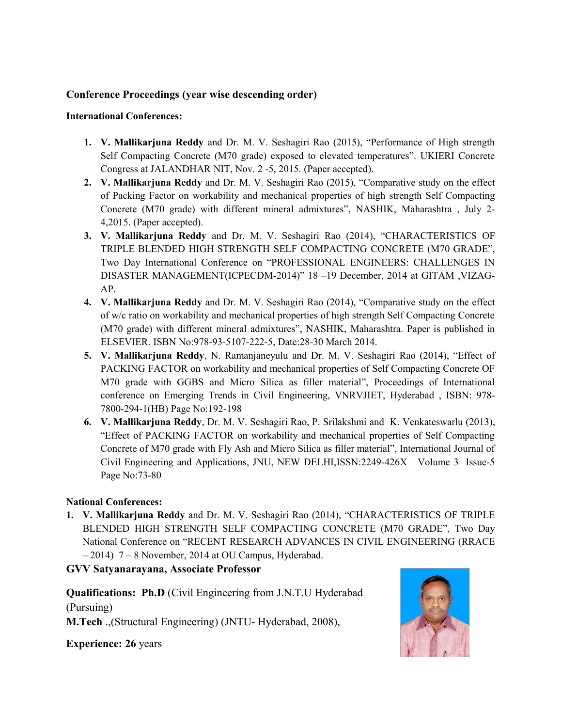# **Conference Proceedings (year wise descending order)**

#### **International Conferences:**

- **1. V. Mallikarjuna Reddy** and Dr. M. V. Seshagiri Rao (2015), "Performance of High strength Self Compacting Concrete (M70 grade) exposed to elevated temperatures". UKIERI Concrete Congress at JALANDHAR NIT, Nov. 2 -5, 2015. (Paper accepted).
- **2. V. Mallikarjuna Reddy** and Dr. M. V. Seshagiri Rao (2015), "Comparative study on the effect of Packing Factor on workability and mechanical properties of high strength Self Compacting Concrete (M70 grade) with different mineral admixtures", NASHIK, Maharashtra , July 2- 4,2015. (Paper accepted).
- **3. V. Mallikarjuna Reddy** and Dr. M. V. Seshagiri Rao (2014), "CHARACTERISTICS OF TRIPLE BLENDED HIGH STRENGTH SELF COMPACTING CONCRETE (M70 GRADE", Two Day International Conference on "PROFESSIONAL ENGINEERS: CHALLENGES IN DISASTER MANAGEMENT(ICPECDM-2014)" 18 –19 December, 2014 at GITAM ,VIZAG-AP.
- **4. V. Mallikarjuna Reddy** and Dr. M. V. Seshagiri Rao (2014), "Comparative study on the effect of w/c ratio on workability and mechanical properties of high strength Self Compacting Concrete (M70 grade) with different mineral admixtures", NASHIK, Maharashtra. Paper is published in ELSEVIER. ISBN No:978-93-5107-222-5, Date:28-30 March 2014.
- **5. V. Mallikarjuna Reddy**, N. Ramanjaneyulu and Dr. M. V. Seshagiri Rao (2014), "Effect of PACKING FACTOR on workability and mechanical properties of Self Compacting Concrete OF M70 grade with GGBS and Micro Silica as filler material", Proceedings of International conference on Emerging Trends in Civil Engineering, VNRVJIET, Hyderabad , ISBN: 978- 7800-294-1(HB) Page No:192-198
- **6. V. Mallikarjuna Reddy**, Dr. M. V. Seshagiri Rao, P. Srilakshmi and K. Venkateswarlu (2013), "Effect of PACKING FACTOR on workability and mechanical properties of Self Compacting Concrete of M70 grade with Fly Ash and Micro Silica as filler material", International Journal of Civil Engineering and Applications, JNU, NEW DELHI,ISSN:2249-426X Volume 3 Issue-5 Page No:73-80

#### **National Conferences:**

**1. V. Mallikarjuna Reddy** and Dr. M. V. Seshagiri Rao (2014), "CHARACTERISTICS OF TRIPLE BLENDED HIGH STRENGTH SELF COMPACTING CONCRETE (M70 GRADE", Two Day National Conference on "RECENT RESEARCH ADVANCES IN CIVIL ENGINEERING (RRACE – 2014) 7 – 8 November, 2014 at OU Campus, Hyderabad.

#### **GVV Satyanarayana, Associate Professor**

**Qualifications: Ph.D** (Civil Engineering from J.N.T.U Hyderabad (Pursuing)

**M.Tech** .,(Structural Engineering) (JNTU- Hyderabad, 2008),

**Experience: 26** years

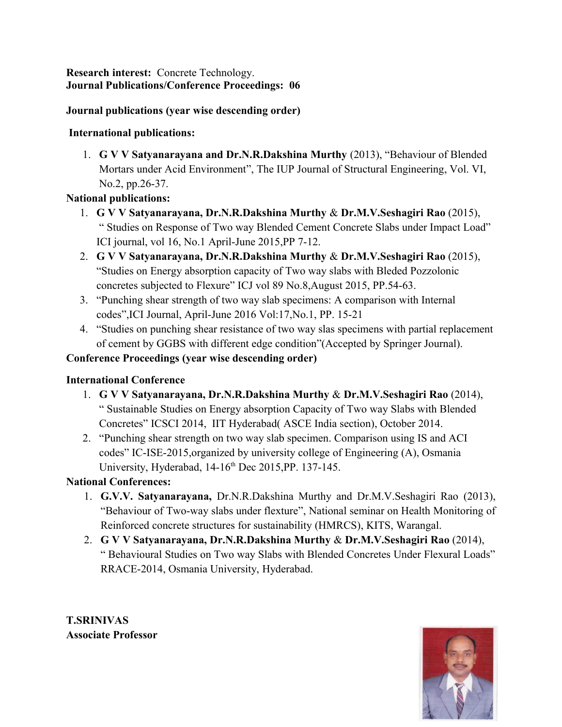**Research interest:** Concrete Technology. **Journal Publications/Conference Proceedings: 06**

# **Journal publications (year wise descending order)**

# **International publications:**

1. **G V V Satyanarayana and Dr.N.R.Dakshina Murthy** (2013), "Behaviour of Blended Mortars under Acid Environment", The IUP Journal of Structural Engineering, Vol. VI, No.2, pp.26-37.

# **National publications:**

- 1. **G V V Satyanarayana, Dr.N.R.Dakshina Murthy** & **Dr.M.V.Seshagiri Rao** (2015), " Studies on Response of Two way Blended Cement Concrete Slabs under Impact Load" ICI journal, vol 16, No.1 April-June 2015,PP 7-12.
- 2. **G V V Satyanarayana, Dr.N.R.Dakshina Murthy** & **Dr.M.V.Seshagiri Rao** (2015), "Studies on Energy absorption capacity of Two way slabs with Bleded Pozzolonic concretes subjected to Flexure" ICJ vol 89 No.8,August 2015, PP.54-63.
- 3. "Punching shear strength of two way slab specimens: A comparison with Internal codes",ICI Journal, April-June 2016 Vol:17,No.1, PP. 15-21
- 4. "Studies on punching shear resistance of two way slas specimens with partial replacement of cement by GGBS with different edge condition"(Accepted by Springer Journal).

# **Conference Proceedings (year wise descending order)**

# **International Conference**

- 1. **G V V Satyanarayana, Dr.N.R.Dakshina Murthy** & **Dr.M.V.Seshagiri Rao** (2014), " Sustainable Studies on Energy absorption Capacity of Two way Slabs with Blended Concretes" ICSCI 2014, IIT Hyderabad( ASCE India section), October 2014.
- 2. "Punching shear strength on two way slab specimen. Comparison using IS and ACI codes" IC-ISE-2015,organized by university college of Engineering (A), Osmania University, Hyderabad, 14-16<sup>th</sup> Dec 2015, PP. 137-145.

# **National Conferences:**

- 1. **G.V.V. Satyanarayana,** Dr.N.R.Dakshina Murthy and Dr.M.V.Seshagiri Rao (2013), "Behaviour of Two-way slabs under flexture", National seminar on Health Monitoring of Reinforced concrete structures for sustainability (HMRCS), KITS, Warangal.
- 2. **G V V Satyanarayana, Dr.N.R.Dakshina Murthy** & **Dr.M.V.Seshagiri Rao** (2014), " Behavioural Studies on Two way Slabs with Blended Concretes Under Flexural Loads" RRACE-2014, Osmania University, Hyderabad.

**T.SRINIVAS Associate Professor**

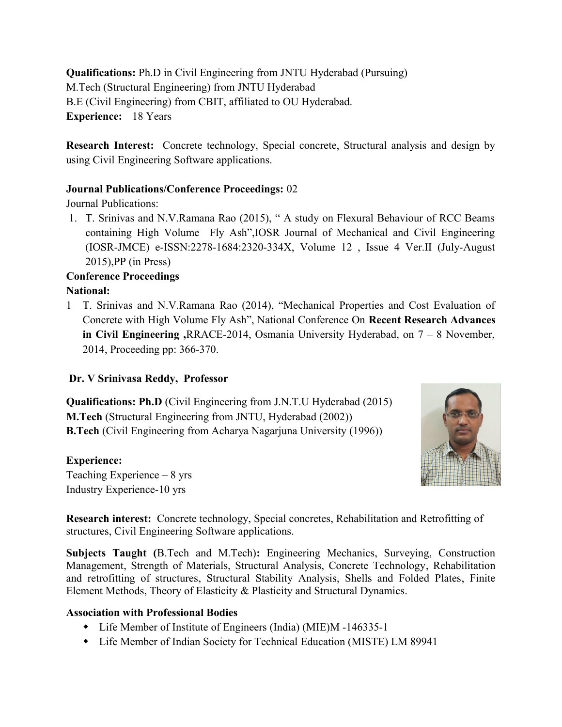**Qualifications:** Ph.D in Civil Engineering from JNTU Hyderabad (Pursuing) M.Tech (Structural Engineering) from JNTU Hyderabad B.E (Civil Engineering) from CBIT, affiliated to OU Hyderabad. **Experience:** 18 Years

**Research Interest:** Concrete technology, Special concrete, Structural analysis and design by using Civil Engineering Software applications.

# **Journal Publications/Conference Proceedings:** 02

Journal Publications:

1. T. Srinivas and N.V.Ramana Rao (2015), " A study on Flexural Behaviour of RCC Beams containing High Volume Fly Ash",IOSR Journal of Mechanical and Civil Engineering (IOSR-JMCE) e-ISSN:2278-1684:2320-334X, Volume 12 , Issue 4 Ver.II (July-August 2015),PP (in Press)

# **Conference Proceedings National:**

1 T. Srinivas and N.V.Ramana Rao (2014), "Mechanical Properties and Cost Evaluation of Concrete with High Volume Fly Ash", National Conference On **Recent Research Advances in Civil Engineering ,**RRACE-2014, Osmania University Hyderabad, on 7 – 8 November, 2014, Proceeding pp: 366-370.

# **Dr. V Srinivasa Reddy, Professor**

**Qualifications: Ph.D** (Civil Engineering from J.N.T.U Hyderabad (2015) **M.Tech** (Structural Engineering from JNTU, Hyderabad (2002)) **B.Tech** (Civil Engineering from Acharya Nagarjuna University (1996))

# **Experience:**

Teaching Experience – 8 yrs Industry Experience-10 yrs



**Research interest:** Concrete technology, Special concretes, Rehabilitation and Retrofitting of structures, Civil Engineering Software applications.

**Subjects Taught (**B.Tech and M.Tech)**:** Engineering Mechanics, Surveying, Construction Management, Strength of Materials, Structural Analysis, Concrete Technology, Rehabilitation and retrofitting of structures, Structural Stability Analysis, Shells and Folded Plates, Finite Element Methods, Theory of Elasticity & Plasticity and Structural Dynamics.

# **Association with Professional Bodies**

- Life Member of Institute of Engineers (India) (MIE)M -146335-1
- Life Member of Indian Society for Technical Education (MISTE) LM 89941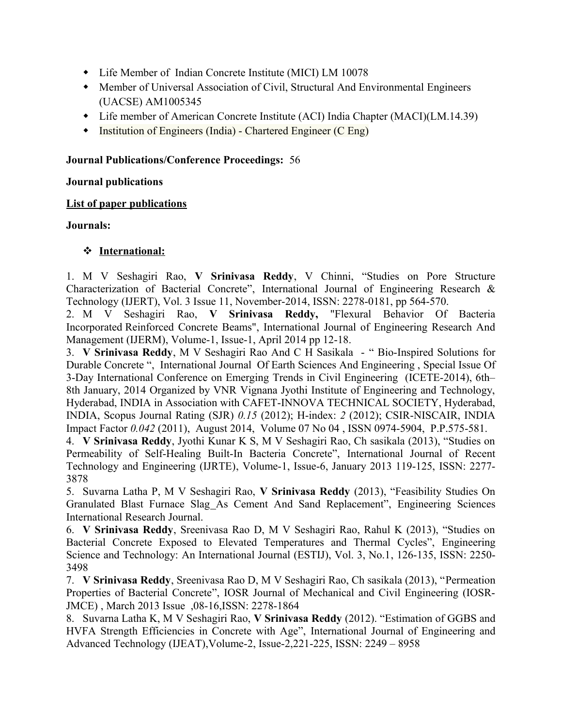- Life Member of Indian Concrete Institute (MICI) LM 10078
- Member of Universal Association of Civil, Structural And Environmental Engineers (UACSE) AM1005345
- Life member of American Concrete Institute (ACI) India Chapter (MACI)(LM.14.39)
- Institution of Engineers (India) Chartered Engineer (C Eng)

## **Journal Publications/Conference Proceedings:** 56

## **Journal publications**

## **List of paper publications**

# **Journals:**

# **International:**

1. M V Seshagiri Rao, **V Srinivasa Reddy**, V Chinni, "Studies on Pore Structure Characterization of Bacterial Concrete", International Journal of Engineering Research & Technology (IJERT), Vol. 3 Issue 11, November-2014, ISSN: 2278-0181, pp 564-570.

2. M V Seshagiri Rao, **V Srinivasa Reddy,** "Flexural Behavior Of Bacteria Incorporated Reinforced Concrete Beams", International Journal of Engineering Research And Management (IJERM), Volume-1, Issue-1, April 2014 pp 12-18.

3. **V Srinivasa Reddy**, M V Seshagiri Rao And C H Sasikala - " Bio-Inspired Solutions for Durable Concrete ", International Journal Of Earth Sciences And Engineering , Special Issue Of 3-Day International Conference on Emerging Trends in Civil Engineering (ICETE-2014), 6th– 8th January, 2014 Organized by VNR Vignana Jyothi Institute of Engineering and Technology, Hyderabad, INDIA in Association with CAFET-INNOVA TECHNICAL SOCIETY, Hyderabad, INDIA, Scopus Journal Rating (SJR) *0.15* (2012); H-index: *2* (2012); CSIR-NISCAIR, INDIA Impact Factor *0.042* (2011), August 2014, Volume 07 No 04 , ISSN 0974-5904, P.P.575-581.

4. **V Srinivasa Reddy**, Jyothi Kunar K S, M V Seshagiri Rao, Ch sasikala (2013), "Studies on Permeability of Self-Healing Built-In Bacteria Concrete", International Journal of Recent Technology and Engineering (IJRTE), Volume-1, Issue-6, January 2013 119-125, ISSN: 2277- 3878

5. Suvarna Latha P, M V Seshagiri Rao, **V Srinivasa Reddy** (2013), "Feasibility Studies On Granulated Blast Furnace Slag As Cement And Sand Replacement", Engineering Sciences International Research Journal.

6. **V Srinivasa Reddy**, Sreenivasa Rao D, M V Seshagiri Rao, Rahul K (2013), "Studies on Bacterial Concrete Exposed to Elevated Temperatures and Thermal Cycles", Engineering Science and Technology: An International Journal (ESTIJ), Vol. 3, No.1, 126-135, ISSN: 2250- 3498

7. **V Srinivasa Reddy**, Sreenivasa Rao D, M V Seshagiri Rao, Ch sasikala (2013), "Permeation Properties of Bacterial Concrete", IOSR Journal of Mechanical and Civil Engineering (IOSR-JMCE) , March 2013 Issue ,08-16,ISSN: 2278-1864

8. Suvarna Latha K, M V Seshagiri Rao, **V Srinivasa Reddy** (2012). "Estimation of GGBS and HVFA Strength Efficiencies in Concrete with Age", International Journal of Engineering and Advanced Technology (IJEAT),Volume-2, Issue-2,221-225, ISSN: 2249 – 8958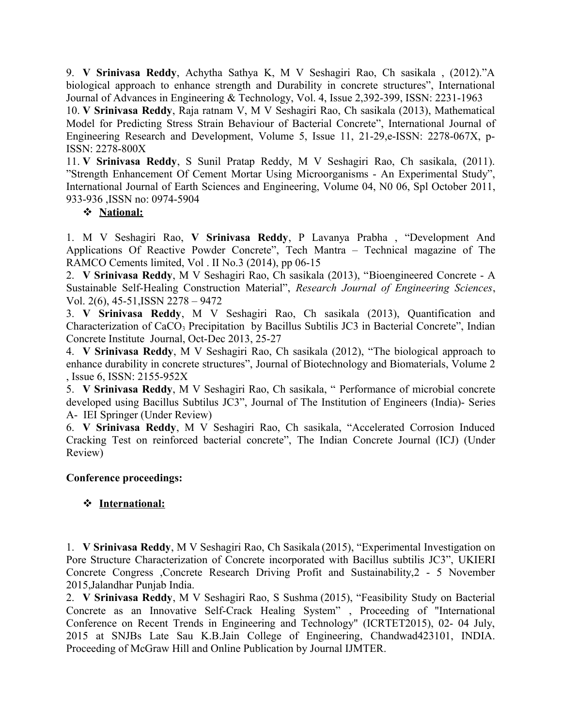9. **V Srinivasa Reddy**, Achytha Sathya K, M V Seshagiri Rao, Ch sasikala , (2012)."A biological approach to enhance strength and Durability in concrete structures", International Journal of Advances in Engineering & Technology, Vol. 4, Issue 2,392-399, ISSN: 2231-1963

10. **V Srinivasa Reddy**, Raja ratnam V, M V Seshagiri Rao, Ch sasikala (2013), Mathematical Model for Predicting Stress Strain Behaviour of Bacterial Concrete", International Journal of Engineering Research and Development, Volume 5, Issue 11, 21-29,e-ISSN: 2278-067X, p-ISSN: 2278-800X

11. **V Srinivasa Reddy**, S Sunil Pratap Reddy, M V Seshagiri Rao, Ch sasikala, (2011). "Strength Enhancement Of Cement Mortar Using Microorganisms - An Experimental Study", International Journal of Earth Sciences and Engineering, Volume 04, N0 06, Spl October 2011, 933-936 ,ISSN no: 0974-5904

# **National:**

1. M V Seshagiri Rao, **V Srinivasa Reddy**, P Lavanya Prabha , "Development And Applications Of Reactive Powder Concrete", Tech Mantra – Technical magazine of The RAMCO Cements limited, Vol . II No.3 (2014), pp 06-15

2. **V Srinivasa Reddy**, M V Seshagiri Rao, Ch sasikala (2013), "Bioengineered Concrete - A Sustainable Self-Healing Construction Material", *Research Journal of Engineering Sciences*, Vol. 2(6), 45-51,ISSN 2278 – 9472

3. **V Srinivasa Reddy**, M V Seshagiri Rao, Ch sasikala (2013), Quantification and Characterization of CaCO<sub>3</sub> Precipitation by Bacillus Subtilis JC3 in Bacterial Concrete", Indian Concrete Institute Journal, Oct-Dec 2013, 25-27

4. **V Srinivasa Reddy**, M V Seshagiri Rao, Ch sasikala (2012), "The biological approach to enhance durability in concrete structures", Journal of Biotechnology and Biomaterials, Volume 2 , Issue 6, ISSN: 2155-952X

5. **V Srinivasa Reddy**, M V Seshagiri Rao, Ch sasikala, " Performance of microbial concrete developed using Bacillus Subtilus JC3", Journal of The Institution of Engineers (India)- Series A- IEI Springer (Under Review)

6. **V Srinivasa Reddy**, M V Seshagiri Rao, Ch sasikala, "Accelerated Corrosion Induced Cracking Test on reinforced bacterial concrete", The Indian Concrete Journal (ICJ) (Under Review)

# **Conference proceedings:**

# **International:**

1. **V Srinivasa Reddy**, M V Seshagiri Rao, Ch Sasikala (2015), "Experimental Investigation on Pore Structure Characterization of Concrete incorporated with Bacillus subtilis JC3", UKIERI Concrete Congress ,Concrete Research Driving Profit and Sustainability,2 - 5 November 2015,Jalandhar Punjab India.

2. **V Srinivasa Reddy**, M V Seshagiri Rao, S Sushma (2015), "Feasibility Study on Bacterial Concrete as an Innovative Self-Crack Healing System" , Proceeding of "International Conference on Recent Trends in Engineering and Technology" (ICRTET2015), 02- 04 July, 2015 at SNJBs Late Sau K.B.Jain College of Engineering, Chandwad423101, INDIA. Proceeding of McGraw Hill and Online Publication by Journal IJMTER.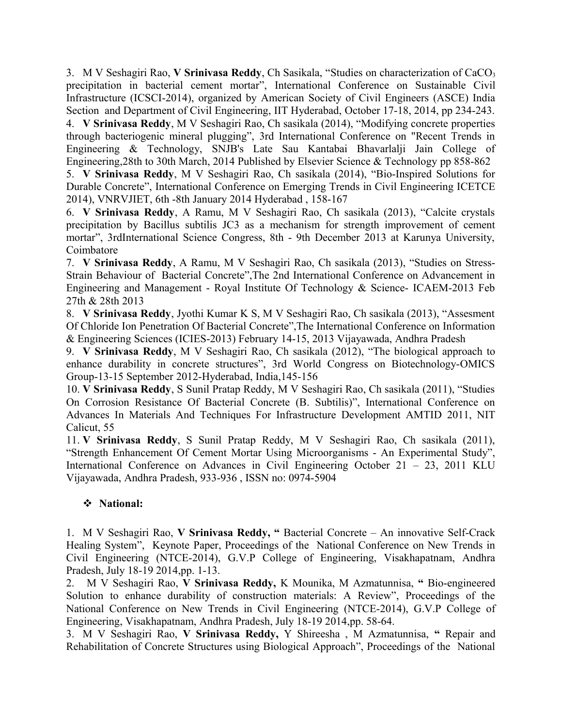3. M V Seshagiri Rao, **V Srinivasa Reddy**, Ch Sasikala, "Studies on characterization of CaCO<sup>3</sup> precipitation in bacterial cement mortar", International Conference on Sustainable Civil Infrastructure (ICSCI-2014), organized by American Society of Civil Engineers (ASCE) India Section and Department of Civil Engineering, IIT Hyderabad, October 17-18, 2014, pp 234-243.

4. **V Srinivasa Reddy**, M V Seshagiri Rao, Ch sasikala (2014), "Modifying concrete properties through bacteriogenic mineral plugging", 3rd International Conference on "Recent Trends in Engineering & Technology, SNJB's Late Sau Kantabai Bhavarlalji Jain College of Engineering,28th to 30th March, 2014 Published by Elsevier Science & Technology pp 858-862

5. **V Srinivasa Reddy**, M V Seshagiri Rao, Ch sasikala (2014), "Bio-Inspired Solutions for Durable Concrete", International Conference on Emerging Trends in Civil Engineering ICETCE 2014), VNRVJIET, 6th -8th January 2014 Hyderabad , 158-167

6. **V Srinivasa Reddy**, A Ramu, M V Seshagiri Rao, Ch sasikala (2013), "Calcite crystals precipitation by Bacillus subtilis JC3 as a mechanism for strength improvement of cement mortar", 3rdInternational Science Congress, 8th - 9th December 2013 at Karunya University, Coimbatore

7. **V Srinivasa Reddy**, A Ramu, M V Seshagiri Rao, Ch sasikala (2013), "Studies on Stress-Strain Behaviour of Bacterial Concrete",The 2nd International Conference on Advancement in Engineering and Management - Royal Institute Of Technology & Science- ICAEM-2013 Feb 27th & 28th 2013

8. **V Srinivasa Reddy**, Jyothi Kumar K S, M V Seshagiri Rao, Ch sasikala (2013), "Assesment Of Chloride Ion Penetration Of Bacterial Concrete",The International Conference on Information & Engineering Sciences (ICIES-2013) February 14-15, 2013 Vijayawada, Andhra Pradesh

9. **V Srinivasa Reddy**, M V Seshagiri Rao, Ch sasikala (2012), "The biological approach to enhance durability in concrete structures", 3rd World Congress on Biotechnology-OMICS Group-13-15 September 2012-Hyderabad, India,145-156

10. **V Srinivasa Reddy**, S Sunil Pratap Reddy, M V Seshagiri Rao, Ch sasikala (2011), "Studies On Corrosion Resistance Of Bacterial Concrete (B. Subtilis)", International Conference on Advances In Materials And Techniques For Infrastructure Development AMTID 2011, NIT Calicut, 55

11. **V Srinivasa Reddy**, S Sunil Pratap Reddy, M V Seshagiri Rao, Ch sasikala (2011), "Strength Enhancement Of Cement Mortar Using Microorganisms - An Experimental Study", International Conference on Advances in Civil Engineering October 21 – 23, 2011 KLU Vijayawada, Andhra Pradesh, 933-936 , ISSN no: 0974-5904

# **National:**

1. M V Seshagiri Rao, **V Srinivasa Reddy, "** Bacterial Concrete – An innovative Self-Crack Healing System", Keynote Paper, Proceedings of the National Conference on New Trends in Civil Engineering (NTCE-2014), G.V.P College of Engineering, Visakhapatnam, Andhra Pradesh, July 18-19 2014,pp. 1-13.

2. M V Seshagiri Rao, **V Srinivasa Reddy,** K Mounika, M Azmatunnisa, **"** Bio-engineered Solution to enhance durability of construction materials: A Review", Proceedings of the National Conference on New Trends in Civil Engineering (NTCE-2014), G.V.P College of Engineering, Visakhapatnam, Andhra Pradesh, July 18-19 2014,pp. 58-64.

3. M V Seshagiri Rao, **V Srinivasa Reddy,** Y Shireesha , M Azmatunnisa, **"** Repair and Rehabilitation of Concrete Structures using Biological Approach", Proceedings of the National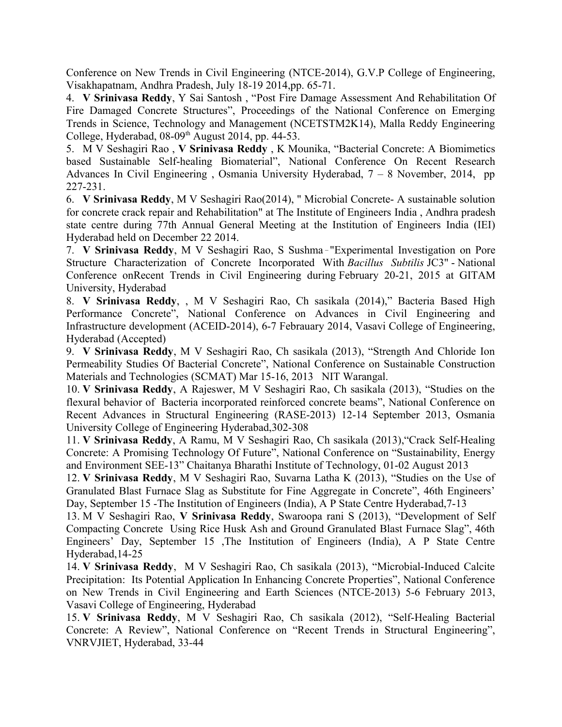Conference on New Trends in Civil Engineering (NTCE-2014), G.V.P College of Engineering, Visakhapatnam, Andhra Pradesh, July 18-19 2014,pp. 65-71.

4. **V Srinivasa Reddy**, Y Sai Santosh , "Post Fire Damage Assessment And Rehabilitation Of Fire Damaged Concrete Structures", Proceedings of the National Conference on Emerging Trends in Science, Technology and Management (NCETSTM2K14), Malla Reddy Engineering College, Hyderabad,  $08-09<sup>th</sup>$  August 2014, pp. 44-53.

5. M V Seshagiri Rao , **V Srinivasa Reddy** , K Mounika, "Bacterial Concrete: A Biomimetics based Sustainable Self-healing Biomaterial", National Conference On Recent Research Advances In Civil Engineering , Osmania University Hyderabad, 7 – 8 November, 2014, pp 227-231.

6. **V Srinivasa Reddy**, M V Seshagiri Rao(2014), " Microbial Concrete- A sustainable solution for concrete crack repair and Rehabilitation" at The Institute of Engineers India , Andhra pradesh state centre during 77th Annual General Meeting at the Institution of Engineers India (IEI) Hyderabad held on December 22 2014.

7. V Srinivasa Reddy, M V Seshagiri Rao, S Sushma-"Experimental Investigation on Pore Structure Characterization of Concrete Incorporated With *Bacillus Subtilis* JC3" - National Conference onRecent Trends in Civil Engineering during February 20-21, 2015 at GITAM University, Hyderabad

8. **V Srinivasa Reddy**, , M V Seshagiri Rao, Ch sasikala (2014)," Bacteria Based High Performance Concrete", National Conference on Advances in Civil Engineering and Infrastructure development (ACEID-2014), 6-7 Febrauary 2014, Vasavi College of Engineering, Hyderabad (Accepted)

9. **V Srinivasa Reddy**, M V Seshagiri Rao, Ch sasikala (2013), "Strength And Chloride Ion Permeability Studies Of Bacterial Concrete", National Conference on Sustainable Construction Materials and Technologies (SCMAT) Mar 15-16, 2013 NIT Warangal.

10. **V Srinivasa Reddy**, A Rajeswer, M V Seshagiri Rao, Ch sasikala (2013), "Studies on the flexural behavior of Bacteria incorporated reinforced concrete beams", National Conference on Recent Advances in Structural Engineering (RASE-2013) 12-14 September 2013, Osmania University College of Engineering Hyderabad,302-308

11. **V Srinivasa Reddy**, A Ramu, M V Seshagiri Rao, Ch sasikala (2013),"Crack Self-Healing Concrete: A Promising Technology Of Future", National Conference on "Sustainability, Energy and Environment SEE-13" Chaitanya Bharathi Institute of Technology, 01-02 August 2013

12. **V Srinivasa Reddy**, M V Seshagiri Rao, Suvarna Latha K (2013), "Studies on the Use of Granulated Blast Furnace Slag as Substitute for Fine Aggregate in Concrete", 46th Engineers' Day, September 15 -The Institution of Engineers (India), A P State Centre Hyderabad,7-13

13. M V Seshagiri Rao, **V Srinivasa Reddy**, Swaroopa rani S (2013), "Development of Self Compacting Concrete Using Rice Husk Ash and Ground Granulated Blast Furnace Slag", 46th Engineers' Day, September 15 ,The Institution of Engineers (India), A P State Centre Hyderabad,14-25

14. **V Srinivasa Reddy**, M V Seshagiri Rao, Ch sasikala (2013), "Microbial-Induced Calcite Precipitation: Its Potential Application In Enhancing Concrete Properties", National Conference on New Trends in Civil Engineering and Earth Sciences (NTCE-2013) 5-6 February 2013, Vasavi College of Engineering, Hyderabad

15. **V Srinivasa Reddy**, M V Seshagiri Rao, Ch sasikala (2012), "Self-Healing Bacterial Concrete: A Review", National Conference on "Recent Trends in Structural Engineering", VNRVJIET, Hyderabad, 33-44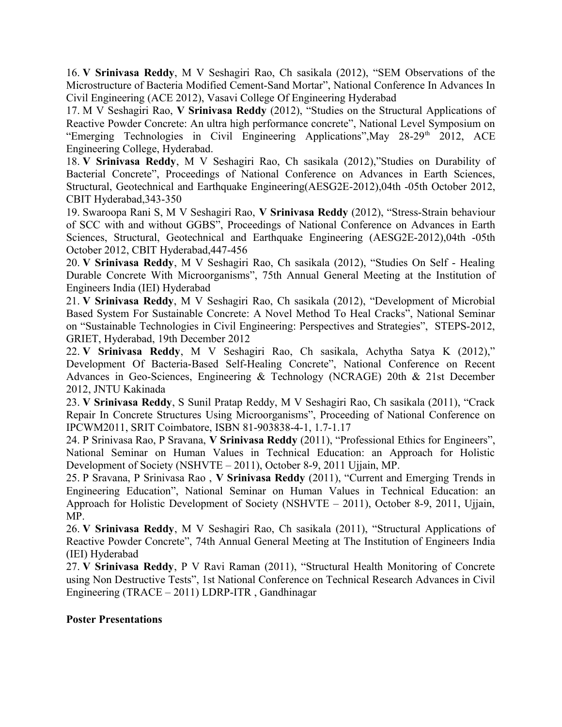16. **V Srinivasa Reddy**, M V Seshagiri Rao, Ch sasikala (2012), "SEM Observations of the Microstructure of Bacteria Modified Cement-Sand Mortar", National Conference In Advances In Civil Engineering (ACE 2012), Vasavi College Of Engineering Hyderabad

17. M V Seshagiri Rao, **V Srinivasa Reddy** (2012), "Studies on the Structural Applications of Reactive Powder Concrete: An ultra high performance concrete", National Level Symposium on "Emerging Technologies in Civil Engineering Applications", May 28-29<sup>th</sup> 2012, ACE Engineering College, Hyderabad.

18. **V Srinivasa Reddy**, M V Seshagiri Rao, Ch sasikala (2012),"Studies on Durability of Bacterial Concrete", Proceedings of National Conference on Advances in Earth Sciences, Structural, Geotechnical and Earthquake Engineering(AESG2E-2012),04th -05th October 2012, CBIT Hyderabad,343-350

19. Swaroopa Rani S, M V Seshagiri Rao, **V Srinivasa Reddy** (2012), "Stress-Strain behaviour of SCC with and without GGBS", Proceedings of National Conference on Advances in Earth Sciences, Structural, Geotechnical and Earthquake Engineering (AESG2E-2012),04th -05th October 2012, CBIT Hyderabad,447-456

20. **V Srinivasa Reddy**, M V Seshagiri Rao, Ch sasikala (2012), "Studies On Self - Healing Durable Concrete With Microorganisms", 75th Annual General Meeting at the Institution of Engineers India (IEI) Hyderabad

21. **V Srinivasa Reddy**, M V Seshagiri Rao, Ch sasikala (2012), "Development of Microbial Based System For Sustainable Concrete: A Novel Method To Heal Cracks", National Seminar on "Sustainable Technologies in Civil Engineering: Perspectives and Strategies", STEPS-2012, GRIET, Hyderabad, 19th December 2012

22. **V Srinivasa Reddy**, M V Seshagiri Rao, Ch sasikala, Achytha Satya K (2012)," Development Of Bacteria-Based Self-Healing Concrete", National Conference on Recent Advances in Geo-Sciences, Engineering & Technology (NCRAGE) 20th & 21st December 2012, JNTU Kakinada

23. **V Srinivasa Reddy**, S Sunil Pratap Reddy, M V Seshagiri Rao, Ch sasikala (2011), "Crack Repair In Concrete Structures Using Microorganisms", Proceeding of National Conference on IPCWM2011, SRIT Coimbatore, ISBN 81-903838-4-1, 1.7-1.17

24. P Srinivasa Rao, P Sravana, **V Srinivasa Reddy** (2011), "Professional Ethics for Engineers", National Seminar on Human Values in Technical Education: an Approach for Holistic Development of Society (NSHVTE – 2011), October 8-9, 2011 Ujjain, MP.

25. P Sravana, P Srinivasa Rao , **V Srinivasa Reddy** (2011), "Current and Emerging Trends in Engineering Education", National Seminar on Human Values in Technical Education: an Approach for Holistic Development of Society (NSHVTE – 2011), October 8-9, 2011, Ujjain, MP.

26. **V Srinivasa Reddy**, M V Seshagiri Rao, Ch sasikala (2011), "Structural Applications of Reactive Powder Concrete", 74th Annual General Meeting at The Institution of Engineers India (IEI) Hyderabad

27. **V Srinivasa Reddy**, P V Ravi Raman (2011), "Structural Health Monitoring of Concrete using Non Destructive Tests", 1st National Conference on Technical Research Advances in Civil Engineering (TRACE – 2011) LDRP-ITR , Gandhinagar

#### **Poster Presentations**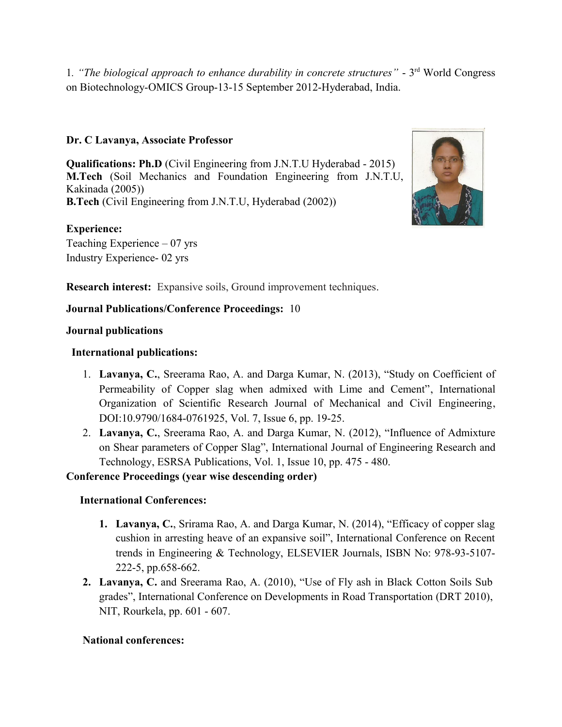1*. "The biological approach to enhance durability in concrete structures"* - 3 rd World Congress on Biotechnology-OMICS Group-13-15 September 2012-Hyderabad, India.

# **Dr. C Lavanya, Associate Professor**

**Qualifications: Ph.D** (Civil Engineering from J.N.T.U Hyderabad - 2015) **M.Tech** (Soil Mechanics and Foundation Engineering from J.N.T.U, Kakinada (2005)) **B.Tech** (Civil Engineering from J.N.T.U, Hyderabad (2002))

## **Experience:**

Teaching Experience – 07 yrs Industry Experience- 02 yrs



**Research interest:** Expansive soils, Ground improvement techniques.

#### **Journal Publications/Conference Proceedings:** 10

#### **Journal publications**

## **International publications:**

- 1. **Lavanya, C.**, Sreerama Rao, A. and Darga Kumar, N. (2013), "Study on Coefficient of Permeability of Copper slag when admixed with Lime and Cement", International Organization of Scientific Research Journal of Mechanical and Civil Engineering, DOI:10.9790/1684-0761925, Vol. 7, Issue 6, pp. 19-25.
- 2. **Lavanya, C.**, Sreerama Rao, A. and Darga Kumar, N. (2012), "Influence of Admixture on Shear parameters of Copper Slag", International Journal of Engineering Research and Technology, ESRSA Publications, Vol. 1, Issue 10, pp. 475 - 480.

#### **Conference Proceedings (year wise descending order)**

# **International Conferences:**

- **1. Lavanya, C.**, Srirama Rao, A. and Darga Kumar, N. (2014), "Efficacy of copper slag cushion in arresting heave of an expansive soil", International Conference on Recent trends in Engineering & Technology, ELSEVIER Journals, ISBN No: 978-93-5107- 222-5, pp.658-662.
- **2. Lavanya, C.** and Sreerama Rao, A. (2010), "Use of Fly ash in Black Cotton Soils Sub grades", International Conference on Developments in Road Transportation (DRT 2010), NIT, Rourkela, pp. 601 - 607.

#### **National conferences:**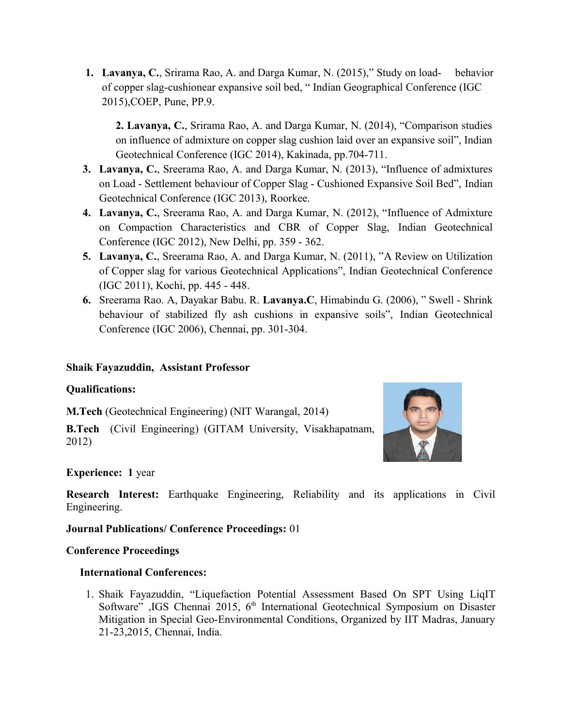**1. Lavanya, C.**, Srirama Rao, A. and Darga Kumar, N. (2015)," Study on load- behavior of copper slag-cushionear expansive soil bed, " Indian Geographical Conference (IGC 2015),COEP, Pune, PP.9.

**2. Lavanya, C.**, Srirama Rao, A. and Darga Kumar, N. (2014), "Comparison studies on influence of admixture on copper slag cushion laid over an expansive soil", Indian Geotechnical Conference (IGC 2014), Kakinada, pp.704-711.

- **3. Lavanya, C.**, Sreerama Rao, A. and Darga Kumar, N. (2013), "Influence of admixtures on Load - Settlement behaviour of Copper Slag - Cushioned Expansive Soil Bed", Indian Geotechnical Conference (IGC 2013), Roorkee.
- **4. Lavanya, C.**, Sreerama Rao, A. and Darga Kumar, N. (2012), "Influence of Admixture on Compaction Characteristics and CBR of Copper Slag, Indian Geotechnical Conference (IGC 2012), New Delhi, pp. 359 - 362.
- **5. Lavanya, C.**, Sreerama Rao, A. and Darga Kumar, N. (2011), "A Review on Utilization of Copper slag for various Geotechnical Applications", Indian Geotechnical Conference (IGC 2011), Kochi, pp. 445 - 448.
- **6.** Sreerama Rao. A, Dayakar Babu. R. **Lavanya.C**, Himabindu G. (2006), " Swell Shrink behaviour of stabilized fly ash cushions in expansive soils", Indian Geotechnical Conference (IGC 2006), Chennai, pp. 301-304.

# **Shaik Fayazuddin, Assistant Professor**

# **Qualifications:**

**M.Tech** (Geotechnical Engineering) (NIT Warangal, 2014)

**B.Tech** (Civil Engineering) (GITAM University, Visakhapatnam, 2012)



# **Experience: 1** year

**Research Interest:** Earthquake Engineering, Reliability and its applications in Civil Engineering.

#### **Journal Publications/ Conference Proceedings:** 01

# **Conference Proceedings**

# **International Conferences:**

1. Shaik Fayazuddin, "Liquefaction Potential Assessment Based On SPT Using LiqIT Software" ,IGS Chennai 2015, 6<sup>th</sup> International Geotechnical Symposium on Disaster Mitigation in Special Geo-Environmental Conditions, Organized by IIT Madras, January 21-23,2015, Chennai, India.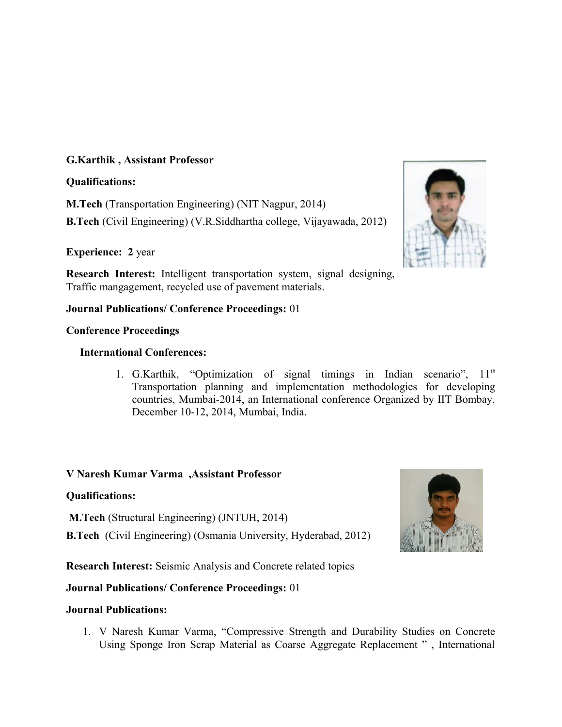## **G.Karthik , Assistant Professor**

### **Qualifications:**

**M.Tech** (Transportation Engineering) (NIT Nagpur, 2014)

**B.Tech** (Civil Engineering) (V.R.Siddhartha college, Vijayawada, 2012)

# **Experience: 2** year

**Research Interest:** Intelligent transportation system, signal designing, Traffic mangagement, recycled use of pavement materials.

# **Journal Publications/ Conference Proceedings:** 01

## **Conference Proceedings**

## **International Conferences:**

1. G.Karthik, "Optimization of signal timings in Indian scenario",  $11<sup>th</sup>$ Transportation planning and implementation methodologies for developing countries, Mumbai-2014, an International conference Organized by IIT Bombay, December 10-12, 2014, Mumbai, India.

# **V Naresh Kumar Varma ,Assistant Professor**

# **Qualifications:**

**M.Tech** (Structural Engineering) (JNTUH, 2014)

**B.Tech** (Civil Engineering) (Osmania University, Hyderabad, 2012)

**Research Interest:** Seismic Analysis and Concrete related topics

# **Journal Publications/ Conference Proceedings:** 01

#### **Journal Publications:**

1. V Naresh Kumar Varma, "Compressive Strength and Durability Studies on Concrete Using Sponge Iron Scrap Material as Coarse Aggregate Replacement " , International